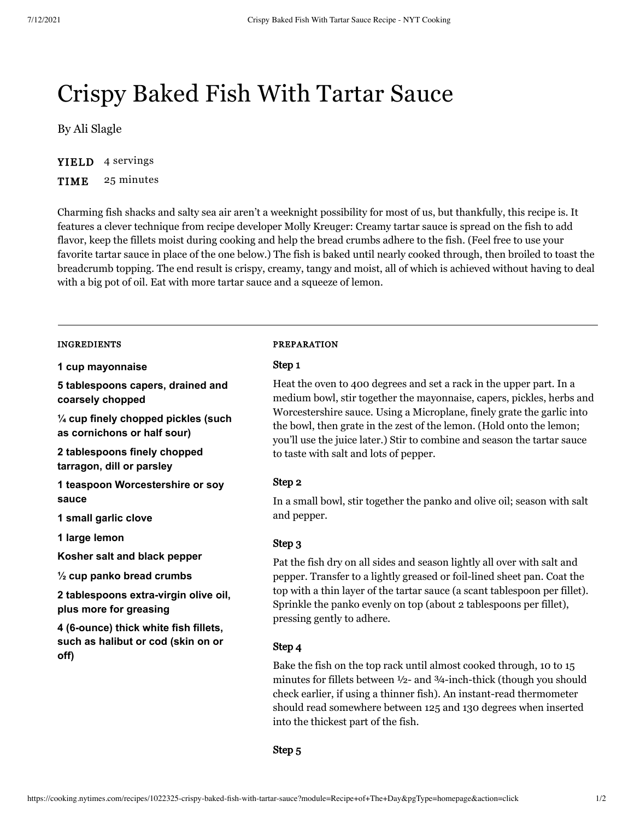# Crispy Baked Fish With Tartar Sauce

By [Ali Slagle](https://cooking.nytimes.com/search?q=Ali+Slagle&action=click&module=byline®ion=recipe%20page)

YIELD 4 servings

TIME 25 minutes

Charming fish shacks and salty sea air aren't a weeknight possibility for most of us, but thankfully, this recipe is. It features a clever technique from recipe developer Molly Kreuger: Creamy tartar sauce is spread on the fish to add flavor, keep the fillets moist during cooking and help the bread crumbs adhere to the fish. (Feel free to use your favorite tartar sauce in place of the one below.) The fish is baked until nearly cooked through, then broiled to toast the breadcrumb topping. The end result is crispy, creamy, tangy and moist, all of which is achieved without having to deal with a big pot of oil. Eat with more tartar sauce and a squeeze of lemon.

## INGREDIENTS

**1 cup mayonnaise**

**5 tablespoons capers, drained and coarsely chopped**

**¼ cup finely chopped pickles (such as cornichons or half sour)**

**2 tablespoons finely chopped tarragon, dill or parsley**

**1 teaspoon Worcestershire or soy sauce**

**1 small garlic clove**

**1 large lemon**

**Kosher salt and black pepper**

**½ cup panko bread crumbs**

**2 tablespoons extra-virgin olive oil, plus more for greasing**

**4 (6-ounce) thick white fish fillets, such as halibut or cod (skin on or off)**

## PREPARATION

## Step 1

Heat the oven to 400 degrees and set a rack in the upper part. In a medium bowl, stir together the mayonnaise, capers, pickles, herbs and Worcestershire sauce. Using a Microplane, finely grate the garlic into the bowl, then grate in the zest of the lemon. (Hold onto the lemon; you'll use the juice later.) Stir to combine and season the tartar sauce to taste with salt and lots of pepper.

## Step 2

In a small bowl, stir together the panko and olive oil; season with salt and pepper.

## Step 3

Pat the fish dry on all sides and season lightly all over with salt and pepper. Transfer to a lightly greased or foil-lined sheet pan. Coat the top with a thin layer of the tartar sauce (a scant tablespoon per fillet). Sprinkle the panko evenly on top (about 2 tablespoons per fillet), pressing gently to adhere.

## Step 4

Bake the fish on the top rack until almost cooked through, 10 to 15 minutes for fillets between ½- and ¾-inch-thick (though you should check earlier, if using a thinner fish). An instant-read thermometer should read somewhere between 125 and 130 degrees when inserted into the thickest part of the fish.

## Step 5